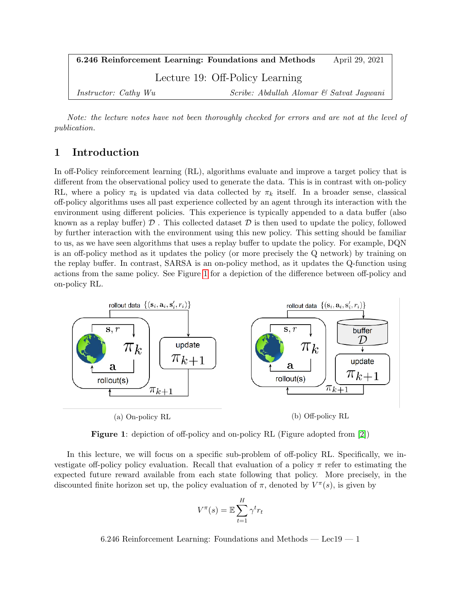| 6.246 Reinforcement Learning: Foundations and Methods |                                          | April 29, 2021 |  |
|-------------------------------------------------------|------------------------------------------|----------------|--|
| Lecture 19: Off-Policy Learning                       |                                          |                |  |
| <i>Instructor: Cathy Wu</i>                           | Scribe: Abdullah Alomar & Satvat Jagwani |                |  |

Note: the lecture notes have not been thoroughly checked for errors and are not at the level of publication.

## 1 Introduction

In off-Policy reinforcement learning (RL), algorithms evaluate and improve a target policy that is different from the observational policy used to generate the data. This is in contrast with on-policy RL, where a policy  $\pi_k$  is updated via data collected by  $\pi_k$  itself. In a broader sense, classical off-policy algorithms uses all past experience collected by an agent through its interaction with the environment using different policies. This experience is typically appended to a data buffer (also known as a replay buffer)  $\mathcal D$ . This collected dataset  $\mathcal D$  is then used to update the policy, followed by further interaction with the environment using this new policy. This setting should be familiar to us, as we have seen algorithms that uses a replay buffer to update the policy. For example, DQN is an off-policy method as it updates the policy (or more precisely the Q network) by training on the replay buffer. In contrast, SARSA is an on-policy method, as it updates the Q-function using actions from the same policy. See Figure [1](#page-0-0) for a depiction of the difference between off-policy and on-policy RL.

<span id="page-0-0"></span>

Figure 1: depiction of off-policy and on-policy RL (Figure adopted from [\[2\]](#page-9-0))

In this lecture, we will focus on a specific sub-problem of off-policy RL. Specifically, we investigate off-policy policy evaluation. Recall that evaluation of a policy  $\pi$  refer to estimating the expected future reward available from each state following that policy. More precisely, in the discounted finite horizon set up, the policy evaluation of  $\pi$ , denoted by  $V^{\pi}(s)$ , is given by

$$
V^{\pi}(s) = \mathbb{E} \sum_{t=1}^{H} \gamma^{t} r_{t}
$$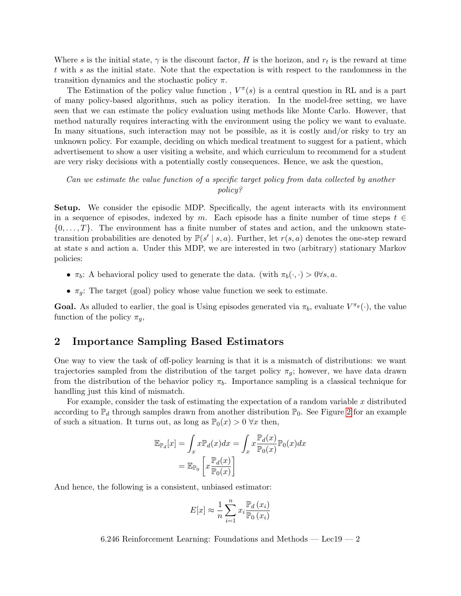Where s is the initial state,  $\gamma$  is the discount factor, H is the horizon, and  $r_t$  is the reward at time t with s as the initial state. Note that the expectation is with respect to the randomness in the transition dynamics and the stochastic policy  $\pi$ .

The Estimation of the policy value function,  $V^{\pi}(s)$  is a central question in RL and is a part of many policy-based algorithms, such as policy iteration. In the model-free setting, we have seen that we can estimate the policy evaluation using methods like Monte Carlo. However, that method naturally requires interacting with the environment using the policy we want to evaluate. In many situations, such interaction may not be possible, as it is costly and/or risky to try an unknown policy. For example, deciding on which medical treatment to suggest for a patient, which advertisement to show a user visiting a website, and which curriculum to recommend for a student are very risky decisions with a potentially costly consequences. Hence, we ask the question,

#### Can we estimate the value function of a specific target policy from data collected by another policy?

Setup. We consider the episodic MDP. Specifically, the agent interacts with its environment in a sequence of episodes, indexed by m. Each episode has a finite number of time steps  $t \in$  $\{0,\ldots,T\}$ . The environment has a finite number of states and action, and the unknown statetransition probabilities are denoted by  $\mathbb{P}(s' | s, a)$ . Further, let  $r(s, a)$  denotes the one-step reward at state s and action a. Under this MDP, we are interested in two (arbitrary) stationary Markov policies:

- $\pi_b$ : A behavioral policy used to generate the data. (with  $\pi_b(\cdot, \cdot) > 0 \forall s, a$ .
- $\pi_q$ : The target (goal) policy whose value function we seek to estimate.

**Goal.** As alluded to earlier, the goal is Using episodes generated via  $\pi_b$ , evaluate  $V^{\pi_g}(\cdot)$ , the value function of the policy  $\pi_g$ ,

### 2 Importance Sampling Based Estimators

One way to view the task of off-policy learning is that it is a mismatch of distributions: we want trajectories sampled from the distribution of the target policy  $\pi_g$ ; however, we have data drawn from the distribution of the behavior policy  $\pi_b$ . Importance sampling is a classical technique for handling just this kind of mismatch.

For example, consider the task of estimating the expectation of a random variable  $x$  distributed according to  $\mathbb{P}_d$  through samples drawn from another distribution  $\mathbb{P}_0$ . See Figure [2](#page-2-0) for an example of such a situation. It turns out, as long as  $\mathbb{P}_0(x) > 0 \,\forall x$  then,

$$
\mathbb{E}_{\mathbb{P}_d}[x] = \int_x x \mathbb{P}_d(x) dx = \int_x x \frac{\mathbb{P}_d(x)}{\mathbb{P}_0(x)} \mathbb{P}_0(x) dx
$$

$$
= \mathbb{E}_{\mathbb{P}_0} \left[ x \frac{\mathbb{P}_d(x)}{\mathbb{P}_0(x)} \right]
$$

And hence, the following is a consistent, unbiased estimator:

$$
E[x] \approx \frac{1}{n} \sum_{i=1}^{n} x_i \frac{\mathbb{P}_d(x_i)}{\mathbb{P}_0(x_i)}
$$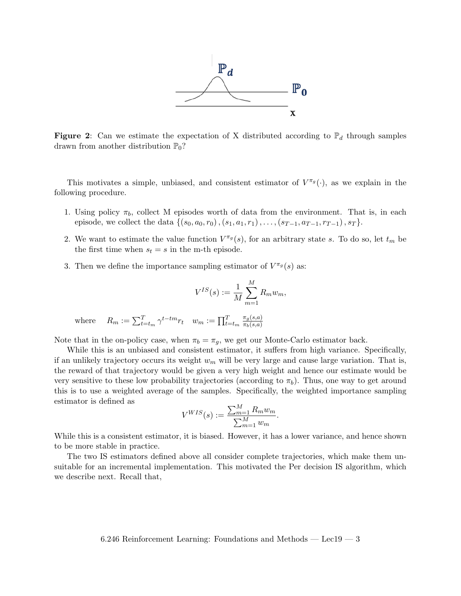

<span id="page-2-0"></span>**Figure 2:** Can we estimate the expectation of X distributed according to  $\mathbb{P}_d$  through samples drawn from another distribution  $\mathbb{P}_0$ ?

This motivates a simple, unbiased, and consistent estimator of  $V^{\pi_g}(\cdot)$ , as we explain in the following procedure.

- 1. Using policy  $\pi_b$ , collect M episodes worth of data from the environment. That is, in each episode, we collect the data  $\{(s_0, a_0, r_0), (s_1, a_1, r_1), \ldots, (s_{T-1}, a_{T-1}, r_{T-1}), s_T\}.$
- 2. We want to estimate the value function  $V^{\pi_g}(s)$ , for an arbitrary state s. To do so, let  $t_m$  be the first time when  $s_t = s$  in the m-th episode.
- 3. Then we define the importance sampling estimator of  $V^{\pi_g}(s)$  as:

$$
V^{IS}(s) := \frac{1}{M} \sum_{m=1}^{M} R_m w_m,
$$

where  $R_m := \sum_{t=t_m}^{T} \gamma^{t-tm} r_t \quad w_m := \prod_{t=t_m}^{T} r_t$  $\pi_g(s,a)$  $\pi_b(s,a)$ 

Note that in the on-policy case, when  $\pi_b = \pi_q$ , we get our Monte-Carlo estimator back.

While this is an unbiased and consistent estimator, it suffers from high variance. Specifically, if an unlikely trajectory occurs its weight  $w_m$  will be very large and cause large variation. That is, the reward of that trajectory would be given a very high weight and hence our estimate would be very sensitive to these low probability trajectories (according to  $\pi_b$ ). Thus, one way to get around this is to use a weighted average of the samples. Specifically, the weighted importance sampling estimator is defined as

$$
V^{WIS}(s) := \frac{\sum_{m=1}^{M} R_m w_m}{\sum_{m=1}^{M} w_m}.
$$

While this is a consistent estimator, it is biased. However, it has a lower variance, and hence shown to be more stable in practice.

The two IS estimators defined above all consider complete trajectories, which make them unsuitable for an incremental implementation. This motivated the Per decision IS algorithm, which we describe next. Recall that,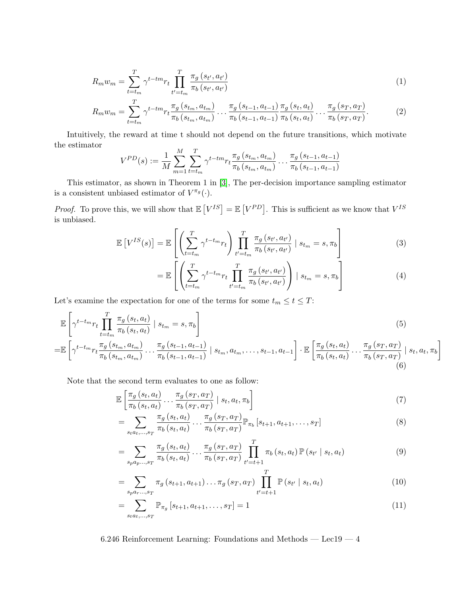$$
R_m w_m = \sum_{t=t_m}^{T} \gamma^{t - tm} r_t \prod_{t'=t_m}^{T} \frac{\pi_g(s_{t'}, a_{t'})}{\pi_b(s_{t'}, a_{t'})}
$$
(1)

$$
R_m w_m = \sum_{t=t_m}^{T} \gamma^{t - tm} r_t \frac{\pi_g (s_{t_m}, a_{t_m})}{\pi_b (s_{t_m}, a_{t_m})} \dots \frac{\pi_g (s_{t-1}, a_{t-1})}{\pi_b (s_{t-1}, a_{t-1})} \frac{\pi_g (s_t, a_t)}{\pi_b (s_t, a_t)} \dots \frac{\pi_g (s_T, a_T)}{\pi_b (s_T, a_T)}.
$$
(2)

Intuitively, the reward at time t should not depend on the future transitions, which motivate the estimator

$$
V^{PD}(s) := \frac{1}{M} \sum_{m=1}^{M} \sum_{t=t_m}^{T} \gamma^{t-tm} r_t \frac{\pi_g(s_{t_m}, a_{t_m})}{\pi_b(s_{t_m}, a_{t_m})} \dots \frac{\pi_g(s_{t-1}, a_{t-1})}{\pi_b(s_{t-1}, a_{t-1})}
$$

This estimator, as shown in Theorem 1 in [\[3\]](#page-9-1), The per-decision importance sampling estimator is a consistent unbiased estimator of  $V^{\pi_g}(\cdot)$ .

*Proof.* To prove this, we will show that  $\mathbb{E}[V^{IS}] = \mathbb{E}[V^{PD}]$ . This is sufficient as we know that  $V^{IS}$ is unbiased.

$$
\mathbb{E}\left[V^{IS}(s)\right] = \mathbb{E}\left[\left(\sum_{t=t_m}^{T} \gamma^{t-t_m} r_t\right) \prod_{t'=t_m}^{T} \frac{\pi_g\left(s_{t'}, a_{t'}\right)}{\pi_b\left(s_{t'}, a_{t'}\right)} \mid s_{t_m} = s, \pi_b\right]
$$
\n(3)

$$
= \mathbb{E}\left[\left(\sum_{t=t_m}^{T} \gamma^{t-t_m} r_t \prod_{t'=t_m}^{T} \frac{\pi_g(s_{t'}, a_{t'})}{\pi_b(s_{t'}, a_{t'})}\right) \mid s_{t_m} = s, \pi_b\right]
$$
(4)

Let's examine the expectation for one of the terms for some  $t_m \leq t \leq T$ :

$$
\mathbb{E}\left[\gamma^{t-t_m}r_t\prod_{t=t_m}^T\frac{\pi_g(s_t,a_t)}{\pi_b(s_t,a_t)}\mid s_{t_m}=s,\pi_b\right]
$$
\n
$$
(5)
$$

$$
= \mathbb{E}\left[\gamma^{t-t_m} r_t \frac{\pi_g\left(s_{t_m}, a_{t_m}\right)}{\pi_b\left(s_{t_m}, a_{t_m}\right)} \dots \frac{\pi_g\left(s_{t-1}, a_{t-1}\right)}{\pi_b\left(s_{t-1}, a_{t-1}\right)} \mid s_{t_m}, a_{t_m}, \dots, s_{t-1}, a_{t-1}\right] \cdot \mathbb{E}\left[\frac{\pi_g\left(s_{t}, a_{t}\right)}{\pi_b\left(s_{t}, a_{t}\right)} \dots \frac{\pi_g\left(s_{T}, a_{T}\right)}{\pi_b\left(s_{T}, a_{T}\right)} \mid s_{t}, a_{t}, \pi_b\right] \tag{6}
$$

Note that the second term evaluates to one as follow:

$$
\mathbb{E}\left[\frac{\pi_g\left(s_t, a_t\right)}{\pi_b\left(s_t, a_t\right)} \dots \frac{\pi_g\left(s_T, a_T\right)}{\pi_b\left(s_T, a_T\right)} \middle| s_t, a_t, \pi_b\right] \tag{7}
$$

$$
= \sum_{s_{t} a_{t},...,s_{T}} \frac{\pi_{g}(s_{t}, a_{t})}{\pi_{b}(s_{t}, a_{t})} \dots \frac{\pi_{g}(s_{T}, a_{T})}{\pi_{b}(s_{T}, a_{T})} \mathbb{P}_{\pi_{b}}[s_{t+1}, a_{t+1}, \dots, s_{T}]
$$
(8)

$$
= \sum_{s_{p}a_{p}...s_{T}} \frac{\pi_{g}(s_{t}, a_{t})}{\pi_{b}(s_{t}, a_{t})} \dots \frac{\pi_{g}(s_{T}, a_{T})}{\pi_{b}(s_{T}, a_{T})} \prod_{t'=t+1}^{T} \pi_{b}(s_{t}, a_{t}) \mathbb{P}(s_{t'} | s_{t}, a_{t})
$$
(9)

$$
= \sum_{s_{p}a_{r}\dots,s_{T}} \pi_{g}(s_{t+1},a_{t+1})\dots\pi_{g}(s_{T},a_{T}) \prod_{t'=t+1}^{T} \mathbb{P}(s_{t'} \mid s_{t},a_{t}) \tag{10}
$$

$$
= \sum_{s_t a_t, ..., s_T} \mathbb{P}_{\pi_g} \left[ s_{t+1}, a_{t+1}, \dots, s_T \right] = 1 \tag{11}
$$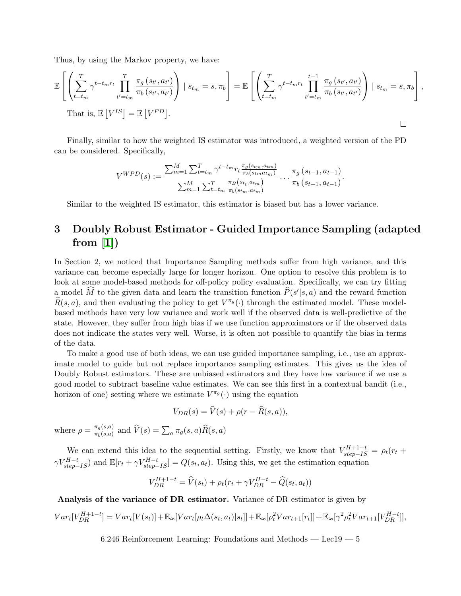Thus, by using the Markov property, we have:

$$
\mathbb{E}\left[\left(\sum_{t=t_m}^T \gamma^{t-t_m r_t} \prod_{t'=t_m}^T \frac{\pi_g(s_{t'}, a_{t'})}{\pi_b(s_{t'}, a_{t'})}\right) \mid s_{t_m} = s, \pi_b\right] = \mathbb{E}\left[\left(\sum_{t=t_m}^T \gamma^{t-t_m r_t} \prod_{t'=t_m}^{t-1} \frac{\pi_g(s_{t'}, a_{t'})}{\pi_b(s_{t'}, a_{t'})}\right) \mid s_{t_m} = s, \pi_b\right],
$$
  
That is,  $\mathbb{E}\left[V^{IS}\right] = \mathbb{E}\left[V^{PD}\right].$ 

Finally, similar to how the weighted IS estimator was introduced, a weighted version of the PD can be considered. Specifically,

$$
V^{WPD}(s) := \frac{\sum_{m=1}^{M} \sum_{t=t_m}^{T} \gamma^{t-t_m} r_t \frac{\pi_g(s_{t_m}, a_{t_m})}{\pi_b(s_{t_m}, a_{t_m})}}{\sum_{m=1}^{M} \sum_{t=t_m}^{T} \frac{\pi_B(s_{t_t}, a_{t_m})}{\pi_b(s_{t_m}, a_{t_m})}} \dots \frac{\pi_g(s_{t-1}, a_{t-1})}{\pi_b(s_{t-1}, a_{t-1})}.
$$

Similar to the weighted IS estimator, this estimator is biased but has a lower variance.

# 3 Doubly Robust Estimator - Guided Importance Sampling (adapted from  $[1]$ )

In Section 2, we noticed that Importance Sampling methods suffer from high variance, and this variance can become especially large for longer horizon. One option to resolve this problem is to look at some model-based methods for off-policy policy evaluation. Specifically, we can try fitting a model  $\widehat{M}$  to the given data and learn the transition function  $\widehat{P}(s'|s, a)$  and the reward function  $\widehat{R}(s, a)$ , and then evaluating the policy to get  $V^{\pi_g}(\cdot)$  through the estimated model. These modelbased methods have very low variance and work well if the observed data is well-predictive of the state. However, they suffer from high bias if we use function approximators or if the observed data does not indicate the states very well. Worse, it is often not possible to quantify the bias in terms of the data.

To make a good use of both ideas, we can use guided importance sampling, i.e., use an approximate model to guide but not replace importance sampling estimates. This gives us the idea of Doubly Robust estimators. These are unbiased estimators and they have low variance if we use a good model to subtract baseline value estimates. We can see this first in a contextual bandit (i.e., horizon of one) setting where we estimate  $V^{\pi_g}(\cdot)$  using the equation

$$
V_{DR}(s) = \widehat{V}(s) + \rho(r - \widehat{R}(s, a)),
$$

where  $\rho = \frac{\pi_g(s,a)}{\pi_g(s,a)}$  $\frac{\pi_g(s,a)}{\pi_b(s,a)}$  and  $V(s) = \sum_a \pi_g(s,a)R(s,a)$ 

We can extend this idea to the sequential setting. Firstly, we know that  $V_{step-IS}^{H+1-t} = \rho_t (r_t +$  $\gamma V_{step-IS}^{H-t}$  and  $\mathbb{E}[r_t + \gamma V_{step-IS}^{H-t}] = Q(s_t, a_t)$ . Using this, we get the estimation equation

$$
V_{DR}^{H+1-t} = \widehat{V}(s_t) + \rho_t (r_t + \gamma V_{DR}^{H-t} - \widehat{Q}(s_t, a_t))
$$

Analysis of the variance of DR estimator. Variance of DR estimator is given by

$$
Var_t[V_{DR}^{H+1-t}] = Var_t[V(s_t)] + \mathbb{E}_{\approx}[Var_t[\rho_t \Delta(s_t, a_t)|s_t]] + \mathbb{E}_{\approx}[\rho_t^2 Var_{t+1}[r_t]] + \mathbb{E}_{\approx}[\gamma^2 \rho_t^2 Var_{t+1}[V_{DR}^{H-t}]],
$$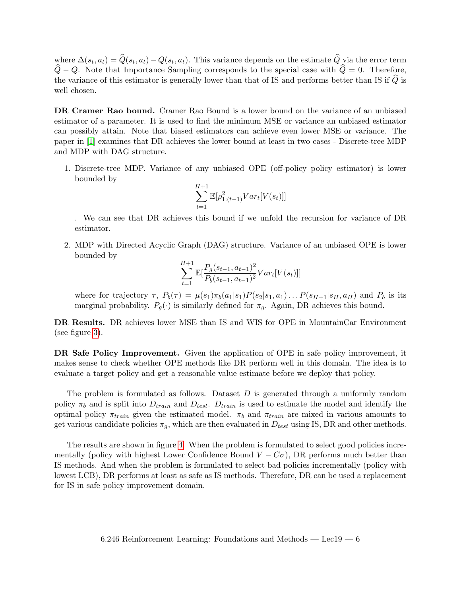where  $\Delta(s_t, a_t) = Q(s_t, a_t) - Q(s_t, a_t)$ . This variance depends on the estimate Q via the error term  $\hat{Q} - Q$ . Note that Importance Sampling corresponds to the special case with  $\hat{Q} = 0$ . Therefore, the variance of this estimator is generally lower than that of IS and performs better than IS if  $\tilde{Q}$  is well chosen.

DR Cramer Rao bound. Cramer Rao Bound is a lower bound on the variance of an unbiased estimator of a parameter. It is used to find the minimum MSE or variance an unbiased estimator can possibly attain. Note that biased estimators can achieve even lower MSE or variance. The paper in [\[1\]](#page-8-0) examines that DR achieves the lower bound at least in two cases - Discrete-tree MDP and MDP with DAG structure.

1. Discrete-tree MDP. Variance of any unbiased OPE (off-policy policy estimator) is lower bounded by

$$
\sum_{t=1}^{H+1} \mathbb{E}[\rho_{1:(t-1)}^2 Var_t[V(s_t)]]
$$

. We can see that DR achieves this bound if we unfold the recursion for variance of DR estimator.

2. MDP with Directed Acyclic Graph (DAG) structure. Variance of an unbiased OPE is lower bounded by

$$
\sum_{t=1}^{H+1} \mathbb{E}[\frac{P_g(s_{t-1}, a_{t-1})^2}{P_b(s_{t-1}, a_{t-1})^2}Var_t[V(s_t)]]
$$

where for trajectory  $\tau$ ,  $P_b(\tau) = \mu(s_1)\pi_b(a_1|s_1)P(s_2|s_1, a_1)\ldots P(s_{H+1}|s_H, a_H)$  and  $P_b$  is its marginal probability.  $P_q(\cdot)$  is similarly defined for  $\pi_q$ . Again, DR achieves this bound.

DR Results. DR achieves lower MSE than IS and WIS for OPE in MountainCar Environment (see figure [3\)](#page-6-0).

DR Safe Policy Improvement. Given the application of OPE in safe policy improvement, it makes sense to check whether OPE methods like DR perform well in this domain. The idea is to evaluate a target policy and get a reasonable value estimate before we deploy that policy.

The problem is formulated as follows. Dataset  $D$  is generated through a uniformly random policy  $\pi_b$  and is split into  $D_{train}$  and  $D_{test}$ .  $D_{train}$  is used to estimate the model and identify the optimal policy  $\pi_{train}$  given the estimated model.  $\pi_b$  and  $\pi_{train}$  are mixed in various amounts to get various candidate policies  $\pi_g$ , which are then evaluated in  $D_{test}$  using IS, DR and other methods.

The results are shown in figure [4.](#page-7-0) When the problem is formulated to select good policies incrementally (policy with highest Lower Confidence Bound  $V - C\sigma$ ), DR performs much better than IS methods. And when the problem is formulated to select bad policies incrementally (policy with lowest LCB), DR performs at least as safe as IS methods. Therefore, DR can be used a replacement for IS in safe policy improvement domain.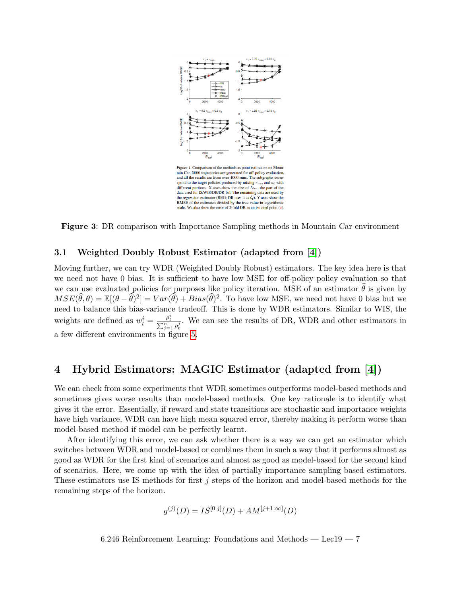<span id="page-6-0"></span>

Figure 3: DR comparison with Importance Sampling methods in Mountain Car environment

#### 3.1 Weighted Doubly Robust Estimator (adapted from [\[4\]](#page-9-2))

Moving further, we can try WDR (Weighted Doubly Robust) estimators. The key idea here is that we need not have 0 bias. It is sufficient to have low MSE for off-policy policy evaluation so that we can use evaluated policies for purposes like policy iteration. MSE of an estimator  $\hat{\theta}$  is given by  $MSE(\hat{\theta}, \theta) = \mathbb{E}[(\theta - \hat{\theta})^2] = Var(\hat{\theta}) + Bias(\hat{\theta})^2$ . To have low MSE, we need not have 0 bias but we need to balance this bias-variance tradeoff. This is done by WDR estimators. Similar to WIS, the weights are defined as  $w_t^i = \frac{\rho_t^i}{\sum_{j=1}^n \rho_t^j}$ . We can see the results of DR, WDR and other estimators in a few different environments in figure [5.](#page-7-1)

## 4 Hybrid Estimators: MAGIC Estimator (adapted from [\[4\]](#page-9-2))

We can check from some experiments that WDR sometimes outperforms model-based methods and sometimes gives worse results than model-based methods. One key rationale is to identify what gives it the error. Essentially, if reward and state transitions are stochastic and importance weights have high variance, WDR can have high mean squared error, thereby making it perform worse than model-based method if model can be perfectly learnt.

After identifying this error, we can ask whether there is a way we can get an estimator which switches between WDR and model-based or combines them in such a way that it performs almost as good as WDR for the first kind of scenarios and almost as good as model-based for the second kind of scenarios. Here, we come up with the idea of partially importance sampling based estimators. These estimators use IS methods for first j steps of the horizon and model-based methods for the remaining steps of the horizon.

$$
g^{(j)}(D) = IS^{[0:j]}(D) + AM^{[j+1:\infty]}(D)
$$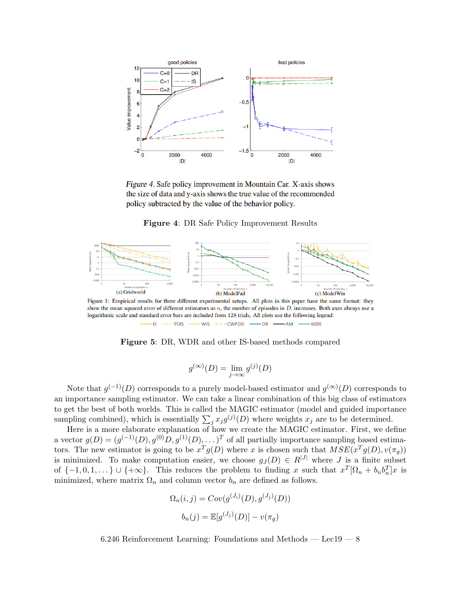<span id="page-7-0"></span>

Figure 4. Safe policy improvement in Mountain Car. X-axis shows the size of data and y-axis shows the true value of the recommended policy subtracted by the value of the behavior policy.

Figure 4: DR Safe Policy Improvement Results

<span id="page-7-1"></span>

Figure 1: Empirical results for three different experimental setups. All plots in this paper have the same format: they show the mean squared error of different estimators as  $n$ , the number of episodes in  $D$ , increases. Both axes always use a logarithmic scale and standard error bars are included from 128 trials. All plots use the following legend:  $\cdots$  PDIS -----WIS ---CWPDIS ---- DR ---- AM  $\longrightarrow$  WDR

Figure 5: DR, WDR and other IS-based methods compared

$$
g^{(\infty)}(D) = \lim_{j \to \infty} g^{(j)}(D)
$$

Note that  $g^{(-1)}(D)$  corresponds to a purely model-based estimator and  $g^{(\infty)}(D)$  corresponds to an importance sampling estimator. We can take a linear combination of this big class of estimators to get the best of both worlds. This is called the MAGIC estimator (model and guided importance sampling combined), which is essentially  $\sum_j x_j g^{(j)}(D)$  where weights  $x_j$  are to be determined.

Here is a more elaborate explanation of how we create the MAGIC estimator. First, we define a vector  $g(D) = (g^{(-1)}(D), g^{(0)}(D), g^{(1)}(D), \dots)^T$  of all partially importance sampling based estimators. The new estimator is going to be  $x^T g(D)$  where x is chosen such that  $MSE(x^T g(D), v(\pi_g))$ is minimized. To make computation easier, we choose  $g_J(D) \in R^{|J|}$  where J is a finite subset of  $\{-1,0,1,\ldots\} \cup \{+\infty\}$ . This reduces the problem to finding x such that  $x^T[\Omega_n + b_n b_n^T]x$  is minimized, where matrix  $\Omega_n$  and column vector  $b_n$  are defined as follows.

$$
\Omega_n(i,j) = Cov(g^{(J_i)}(D), g^{(J_j)}(D))
$$

$$
b_n(j) = \mathbb{E}[g^{(J_j)}(D)] - v(\pi_g)
$$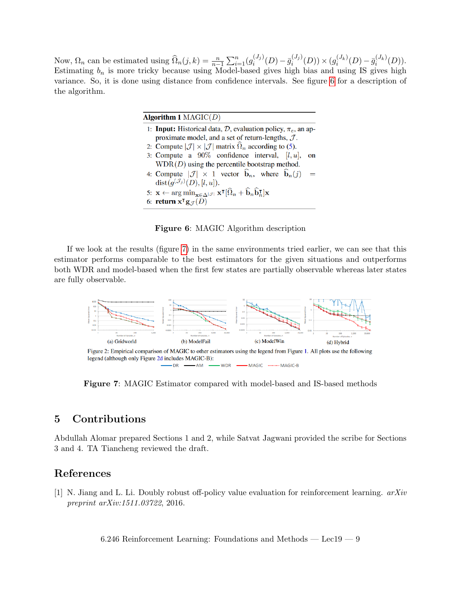<span id="page-8-1"></span>Now,  $\Omega_n$  can be estimated using  $\widehat{\Omega}_n(j,k) = \frac{n}{n-1} \sum_{i=1}^n (g_i^{(J_i)})^2$  $\bar{g}_i^{(J_j)}(D) - \bar{g}_i^{(J_j)}$  $(j^{(J_j)}_{i}(D)) \times (g^{(J_k)}_{i})$  $\bar{g}_i^{(J_k)}(D) - \bar{g}_i^{(J_k)}$  $i^{(J_k)}(D)).$ Estimating  $b_n$  is more tricky because using Model-based gives high bias and using IS gives high variance. So, it is done using distance from confidence intervals. See figure [6](#page-8-1) for a description of the algorithm.

| Algorithm 1 $MAGIC(D)$                                                                                                                                                                           |  |
|--------------------------------------------------------------------------------------------------------------------------------------------------------------------------------------------------|--|
| 1: <b>Input:</b> Historical data, $D$ , evaluation policy, $\pi_e$ , an ap-                                                                                                                      |  |
| proximate model, and a set of return-lengths, $\mathcal{J}$ .                                                                                                                                    |  |
| 2: Compute $ \mathcal{J}  \times  \mathcal{J} $ matrix $\widehat{\Omega}_n$ according to (5).                                                                                                    |  |
| 3: Compute a $90\%$ confidence interval, [l, u],<br>$_{\rm on}$                                                                                                                                  |  |
| $WDR(D)$ using the percentile bootstrap method.                                                                                                                                                  |  |
| 4: Compute $ \mathcal{J}  \times 1$ vector $\hat{\mathbf{b}}_n$ , where $\hat{\mathbf{b}}_n(j)$                                                                                                  |  |
| $dist(g^{(\mathcal{J}_j)}(D), [l, u]).$                                                                                                                                                          |  |
| 5: $\mathbf{x} \leftarrow \arg \min_{\mathbf{x} \in \Delta^{ \mathcal{J} }} \mathbf{x}^{\mathsf{T}}[\widehat{\Omega}_n + \widehat{\mathbf{b}}_n \widehat{\mathbf{b}}_n^{\mathsf{T}}] \mathbf{x}$ |  |
| 6: return $x^{\mathsf{T}} g_{\mathcal{J}}(D)$                                                                                                                                                    |  |

Figure 6: MAGIC Algorithm description

If we look at the results (figure [7\)](#page-8-2) in the same environments tried earlier, we can see that this estimator performs comparable to the best estimators for the given situations and outperforms both WDR and model-based when the first few states are partially observable whereas later states are fully observable.

<span id="page-8-2"></span>

Figure 7: MAGIC Estimator compared with model-based and IS-based methods

### 5 Contributions

Abdullah Alomar prepared Sections 1 and 2, while Satvat Jagwani provided the scribe for Sections 3 and 4. TA Tiancheng reviewed the draft.

### References

<span id="page-8-0"></span>[1] N. Jiang and L. Li. Doubly robust off-policy value evaluation for reinforcement learning. arXiv preprint arXiv:1511.03722, 2016.